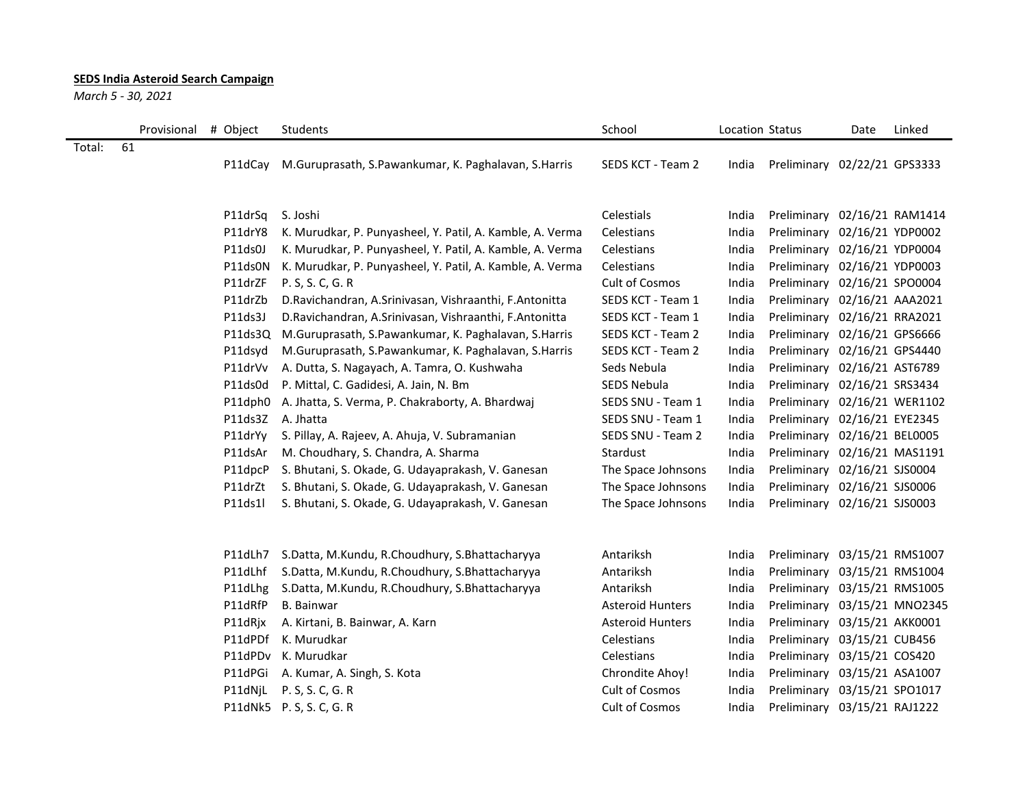## **SEDS India Asteroid Search Campaign**

*March 5 - 30, 2021*

|        |    | Provisional | # Object | Students                                                  | School                  | Location Status |                              | Date             | Linked           |
|--------|----|-------------|----------|-----------------------------------------------------------|-------------------------|-----------------|------------------------------|------------------|------------------|
| Total: | 61 |             | P11dCay  | M.Guruprasath, S.Pawankumar, K. Paghalavan, S.Harris      | SEDS KCT - Team 2       | India           | Preliminary 02/22/21 GPS3333 |                  |                  |
|        |    |             | P11drSq  | S. Joshi                                                  | Celestials              | India           | Preliminary                  |                  | 02/16/21 RAM1414 |
|        |    |             | P11drY8  | K. Murudkar, P. Punyasheel, Y. Patil, A. Kamble, A. Verma | Celestians              | India           | Preliminary                  | 02/16/21 YDP0002 |                  |
|        |    |             | P11ds0J  | K. Murudkar, P. Punyasheel, Y. Patil, A. Kamble, A. Verma | Celestians              | India           | Preliminary                  | 02/16/21 YDP0004 |                  |
|        |    |             | P11ds0N  | K. Murudkar, P. Punyasheel, Y. Patil, A. Kamble, A. Verma | Celestians              | India           | Preliminary                  | 02/16/21 YDP0003 |                  |
|        |    |             | P11drZF  | P. S, S. C, G. R                                          | Cult of Cosmos          | India           | Preliminary 02/16/21 SPO0004 |                  |                  |
|        |    |             | P11drZb  | D.Ravichandran, A.Srinivasan, Vishraanthi, F.Antonitta    | SEDS KCT - Team 1       | India           | Preliminary 02/16/21 AAA2021 |                  |                  |
|        |    |             | P11ds3J  | D. Ravichandran, A. Srinivasan, Vishraanthi, F. Antonitta | SEDS KCT - Team 1       | India           | Preliminary                  | 02/16/21 RRA2021 |                  |
|        |    |             | P11ds3Q  | M.Guruprasath, S.Pawankumar, K. Paghalavan, S.Harris      | SEDS KCT - Team 2       | India           | Preliminary                  | 02/16/21 GPS6666 |                  |
|        |    |             | P11dsyd  | M.Guruprasath, S.Pawankumar, K. Paghalavan, S.Harris      | SEDS KCT - Team 2       | India           | Preliminary                  | 02/16/21 GPS4440 |                  |
|        |    |             | P11drVv  | A. Dutta, S. Nagayach, A. Tamra, O. Kushwaha              | Seds Nebula             | India           | Preliminary                  | 02/16/21 AST6789 |                  |
|        |    |             | P11ds0d  | P. Mittal, C. Gadidesi, A. Jain, N. Bm                    | SEDS Nebula             | India           | Preliminary 02/16/21 SRS3434 |                  |                  |
|        |    |             | P11dph0  | A. Jhatta, S. Verma, P. Chakraborty, A. Bhardwaj          | SEDS SNU - Team 1       | India           | Preliminary 02/16/21 WER1102 |                  |                  |
|        |    |             | P11ds3Z  | A. Jhatta                                                 | SEDS SNU - Team 1       | India           | Preliminary 02/16/21 EYE2345 |                  |                  |
|        |    |             | P11drYy  | S. Pillay, A. Rajeev, A. Ahuja, V. Subramanian            | SEDS SNU - Team 2       | India           | Preliminary 02/16/21 BEL0005 |                  |                  |
|        |    |             | P11dsAr  | M. Choudhary, S. Chandra, A. Sharma                       | Stardust                | India           | Preliminary 02/16/21 MAS1191 |                  |                  |
|        |    |             | P11dpcP  | S. Bhutani, S. Okade, G. Udayaprakash, V. Ganesan         | The Space Johnsons      | India           | Preliminary                  | 02/16/21 SJS0004 |                  |
|        |    |             | P11drZt  | S. Bhutani, S. Okade, G. Udayaprakash, V. Ganesan         | The Space Johnsons      | India           | Preliminary                  | 02/16/21 SJS0006 |                  |
|        |    |             | P11ds1l  | S. Bhutani, S. Okade, G. Udayaprakash, V. Ganesan         | The Space Johnsons      | India           | Preliminary                  | 02/16/21 SJS0003 |                  |
|        |    |             | P11dLh7  | S.Datta, M.Kundu, R.Choudhury, S.Bhattacharyya            | Antariksh               | India           | Preliminary                  |                  | 03/15/21 RMS1007 |
|        |    |             | P11dLhf  | S.Datta, M.Kundu, R.Choudhury, S.Bhattacharyya            | Antariksh               | India           | Preliminary                  |                  | 03/15/21 RMS1004 |
|        |    |             | P11dLhg  | S.Datta, M.Kundu, R.Choudhury, S.Bhattacharyya            | Antariksh               | India           | Preliminary 03/15/21 RMS1005 |                  |                  |
|        |    |             | P11dRfP  | <b>B.</b> Bainwar                                         | <b>Asteroid Hunters</b> | India           | Preliminary 03/15/21 MNO2345 |                  |                  |
|        |    |             | P11dRjx  | A. Kirtani, B. Bainwar, A. Karn                           | <b>Asteroid Hunters</b> | India           | Preliminary 03/15/21 AKK0001 |                  |                  |
|        |    |             | P11dPDf  | K. Murudkar                                               | Celestians              | India           | Preliminary                  | 03/15/21 CUB456  |                  |
|        |    |             | P11dPDv  | K. Murudkar                                               | Celestians              | India           | Preliminary                  | 03/15/21 COS420  |                  |
|        |    |             | P11dPGi  | A. Kumar, A. Singh, S. Kota                               | Chrondite Ahoy!         | India           | Preliminary                  | 03/15/21 ASA1007 |                  |
|        |    |             | P11dNjL  | P. S, S. C, G. R                                          | Cult of Cosmos          | India           | Preliminary                  | 03/15/21 SPO1017 |                  |
|        |    |             |          | P11dNk5 P.S, S.C, G.R                                     | <b>Cult of Cosmos</b>   | India           | Preliminary 03/15/21 RAJ1222 |                  |                  |
|        |    |             |          |                                                           |                         |                 |                              |                  |                  |